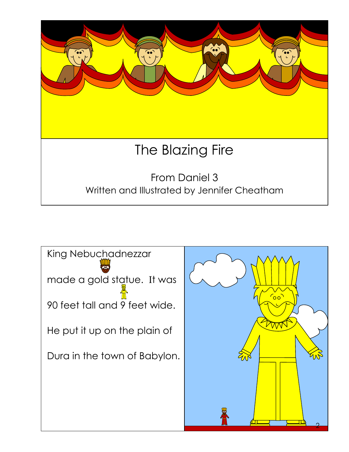

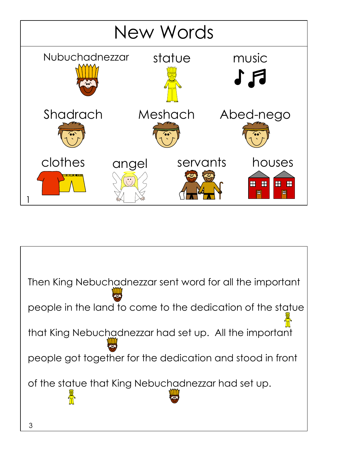

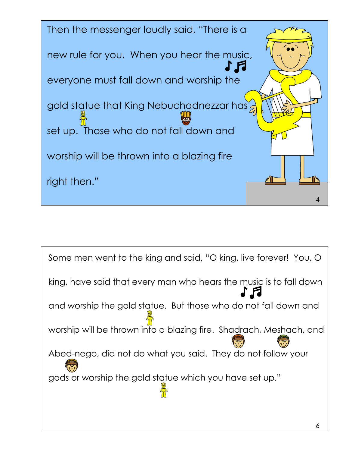

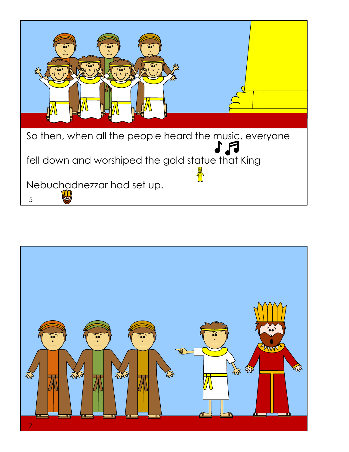

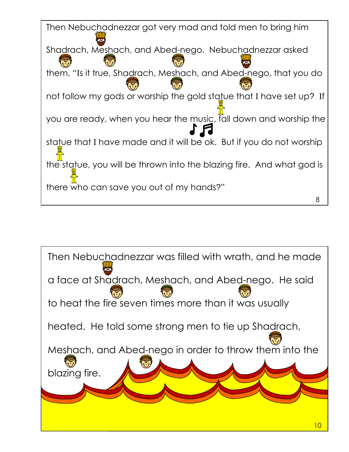

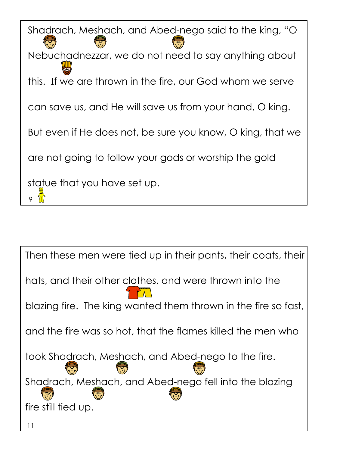$9 \frac{4}{10}$ Shadrach, Meshach, and Abed-nego said to the king, "O Nebuchadnezzar, we do not need to say anything about this. If we are thrown in the fire, our God whom we serve can save us, and He will save us from your hand, O king. But even if He does not, be sure you know, O king, that we are not going to follow your gods or worship the gold statue that you have set up.

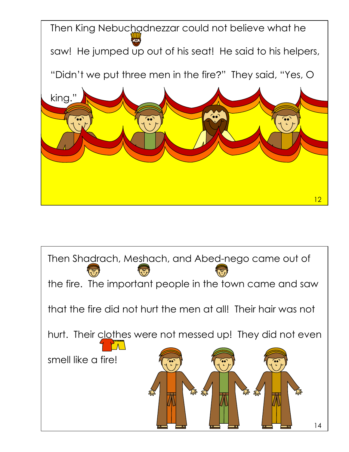

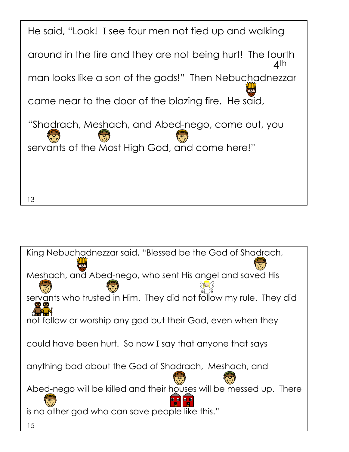![](_page_7_Picture_0.jpeg)

![](_page_7_Picture_1.jpeg)